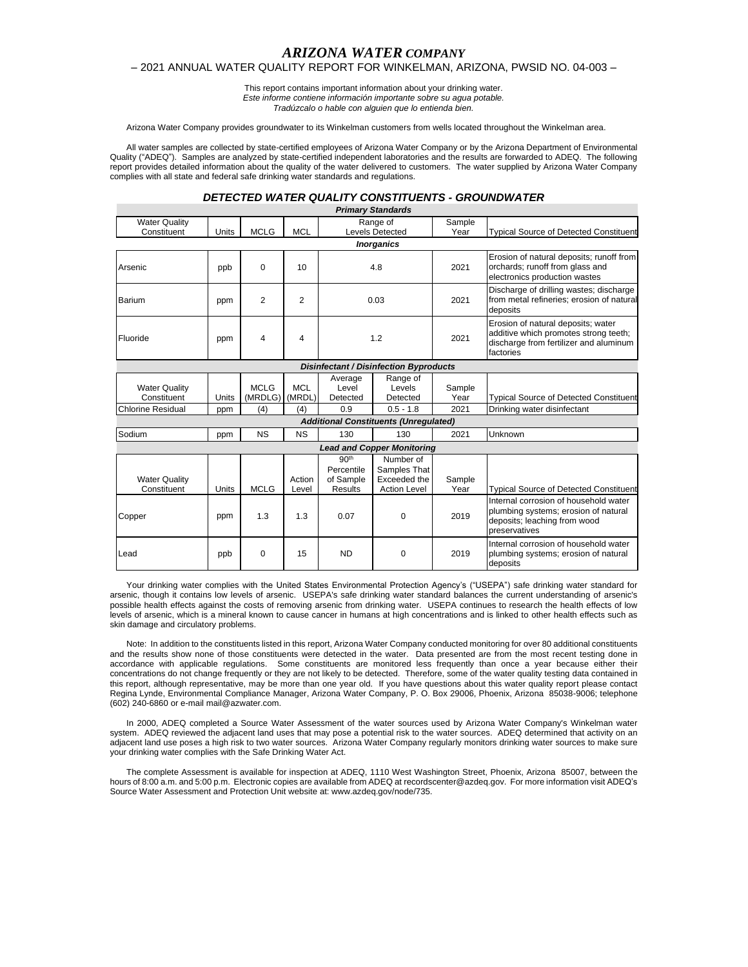# *ARIZONA WATER COMPANY*

## – 2021 ANNUAL WATER QUALITY REPORT FOR WINKELMAN, ARIZONA, PWSID NO. 04-003 –

This report contains important information about your drinking water. *Este informe contiene información importante sobre su agua potable. Tradúzcalo o hable con alguien que lo entienda bien.*

Arizona Water Company provides groundwater to its Winkelman customers from wells located throughout the Winkelman area.

All water samples are collected by state-certified employees of Arizona Water Company or by the Arizona Department of Environmental Quality ("ADEQ"). Samples are analyzed by state-certified independent laboratories and the results are forwarded to ADEQ. The following report provides detailed information about the quality of the water delivered to customers. The water supplied by Arizona Water Company complies with all state and federal safe drinking water standards and regulations.

### *DETECTED WATER QUALITY CONSTITUENTS - GROUNDWATER*

|                                     |       |                        |                      |                                                               | <b>Primary Standards</b>                                         |                |                                                                                                                                    |
|-------------------------------------|-------|------------------------|----------------------|---------------------------------------------------------------|------------------------------------------------------------------|----------------|------------------------------------------------------------------------------------------------------------------------------------|
| <b>Water Quality</b>                |       |                        |                      |                                                               | Range of                                                         | Sample         |                                                                                                                                    |
| Constituent                         | Units | <b>MCLG</b>            | <b>MCL</b>           |                                                               | <b>Levels Detected</b>                                           | Year           | <b>Typical Source of Detected Constituent</b>                                                                                      |
|                                     |       |                        |                      |                                                               | <b>Inorganics</b>                                                |                |                                                                                                                                    |
| Arsenic                             | ppb   | 0                      | 10                   | 4.8                                                           |                                                                  | 2021           | Erosion of natural deposits; runoff from<br>orchards; runoff from glass and<br>electronics production wastes                       |
| Barium                              | ppm   | $\overline{2}$         | $\overline{2}$       | 0.03                                                          |                                                                  | 2021           | Discharge of drilling wastes; discharge<br>from metal refineries; erosion of natural<br>deposits                                   |
| Fluoride                            | ppm   | 4                      | 4                    | 1.2                                                           |                                                                  | 2021           | Erosion of natural deposits; water<br>additive which promotes strong teeth;<br>discharge from fertilizer and aluminum<br>factories |
|                                     |       |                        |                      |                                                               | <b>Disinfectant / Disinfection Byproducts</b>                    |                |                                                                                                                                    |
| <b>Water Quality</b><br>Constituent | Units | <b>MCLG</b><br>(MRDLG) | <b>MCL</b><br>(MRDL) | Average<br>Level<br>Detected                                  | Range of<br>Levels<br>Detected                                   | Sample<br>Year | <b>Typical Source of Detected Constituent</b>                                                                                      |
| <b>Chlorine Residual</b>            | ppm   | (4)                    | (4)                  | 0.9                                                           | $0.5 - 1.8$                                                      | 2021           | Drinking water disinfectant                                                                                                        |
|                                     |       |                        |                      |                                                               | <b>Additional Constituents (Unregulated)</b>                     |                |                                                                                                                                    |
| Sodium                              | ppm   | <b>NS</b>              | <b>NS</b>            | 130                                                           | 130                                                              | 2021           | Unknown                                                                                                                            |
|                                     |       |                        |                      |                                                               | <b>Lead and Copper Monitoring</b>                                |                |                                                                                                                                    |
| <b>Water Quality</b><br>Constituent | Units | <b>MCLG</b>            | Action<br>Level      | 90 <sup>th</sup><br>Percentile<br>of Sample<br><b>Results</b> | Number of<br>Samples That<br>Exceeded the<br><b>Action Level</b> | Sample<br>Year | <b>Typical Source of Detected Constituent</b>                                                                                      |
| Copper                              | ppm   | 1.3                    | 1.3                  | 0.07                                                          | 0                                                                | 2019           | Internal corrosion of household water<br>plumbing systems; erosion of natural<br>deposits; leaching from wood<br>preservatives     |
| Lead                                | ppb   | 0                      | 15                   | <b>ND</b>                                                     | 0                                                                | 2019           | Internal corrosion of household water<br>plumbing systems; erosion of natural<br>deposits                                          |

Your drinking water complies with the United States Environmental Protection Agency's ("USEPA") safe drinking water standard for arsenic, though it contains low levels of arsenic. USEPA's safe drinking water standard balances the current understanding of arsenic's possible health effects against the costs of removing arsenic from drinking water. USEPA continues to research the health effects of low levels of arsenic, which is a mineral known to cause cancer in humans at high concentrations and is linked to other health effects such as skin damage and circulatory problems.

Note: In addition to the constituents listed in this report, Arizona Water Company conducted monitoring for over 80 additional constituents and the results show none of those constituents were detected in the water. Data presented are from the most recent testing done in accordance with applicable regulations. Some constituents are monitored less frequently than once a year because either their concentrations do not change frequently or they are not likely to be detected. Therefore, some of the water quality testing data contained in this report, although representative, may be more than one year old. If you have questions about this water quality report please contact Regina Lynde, Environmental Compliance Manager, Arizona Water Company, P. O. Box 29006, Phoenix, Arizona 85038-9006; telephone (602) 240-6860 or e-mail mail@azwater.com.

In 2000, ADEQ completed a Source Water Assessment of the water sources used by Arizona Water Company's Winkelman water system. ADEQ reviewed the adjacent land uses that may pose a potential risk to the water sources. ADEQ determined that activity on an system. ADEQ reviewed the adjacent land uses that may pose a potential risk to the water adjacent land use poses a high risk to two water sources. Arizona Water Company regularly monitors drinking water sources to make sure your drinking water complies with the Safe Drinking Water Act.

The complete Assessment is available for inspection at ADEQ, 1110 West Washington Street, Phoenix, Arizona 85007, between the hours of 8:00 a.m. and 5:00 p.m. Electronic copies are available from ADEQ at recordscenter@azdeq.gov. For more information visit ADEQ's Source Water Assessment and Protection Unit website at: www.azdeq.gov/node/735.